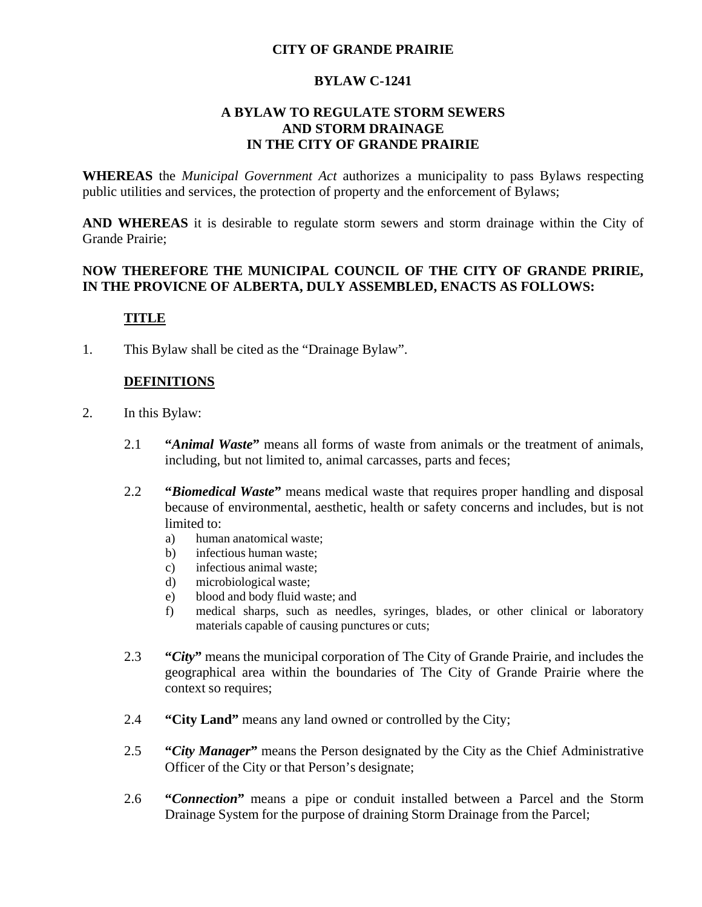#### **CITY OF GRANDE PRAIRIE**

#### **BYLAW C-1241**

#### **A BYLAW TO REGULATE STORM SEWERS AND STORM DRAINAGE IN THE CITY OF GRANDE PRAIRIE**

**WHEREAS** the *Municipal Government Act* authorizes a municipality to pass Bylaws respecting public utilities and services, the protection of property and the enforcement of Bylaws;

**AND WHEREAS** it is desirable to regulate storm sewers and storm drainage within the City of Grande Prairie;

#### **NOW THEREFORE THE MUNICIPAL COUNCIL OF THE CITY OF GRANDE PRIRIE, IN THE PROVICNE OF ALBERTA, DULY ASSEMBLED, ENACTS AS FOLLOWS:**

### **TITLE**

1. This Bylaw shall be cited as the "Drainage Bylaw".

## **DEFINITIONS**

- 2. In this Bylaw:
	- 2.1 **"***Animal Waste***"** means all forms of waste from animals or the treatment of animals, including, but not limited to, animal carcasses, parts and feces;
	- 2.2 **"***Biomedical Waste***"** means medical waste that requires proper handling and disposal because of environmental, aesthetic, health or safety concerns and includes, but is not limited to:
		- a) human anatomical waste;
		- b) infectious human waste;
		- c) infectious animal waste;
		- d) microbiological waste;
		- e) blood and body fluid waste; and
		- f) medical sharps, such as needles, syringes, blades, or other clinical or laboratory materials capable of causing punctures or cuts;
	- 2.3 **"***City***"** means the municipal corporation of The City of Grande Prairie, and includes the geographical area within the boundaries of The City of Grande Prairie where the context so requires;
	- 2.4 **"City Land"** means any land owned or controlled by the City;
	- 2.5 **"***City Manager***"** means the Person designated by the City as the Chief Administrative Officer of the City or that Person's designate;
	- 2.6 **"***Connection***"** means a pipe or conduit installed between a Parcel and the Storm Drainage System for the purpose of draining Storm Drainage from the Parcel;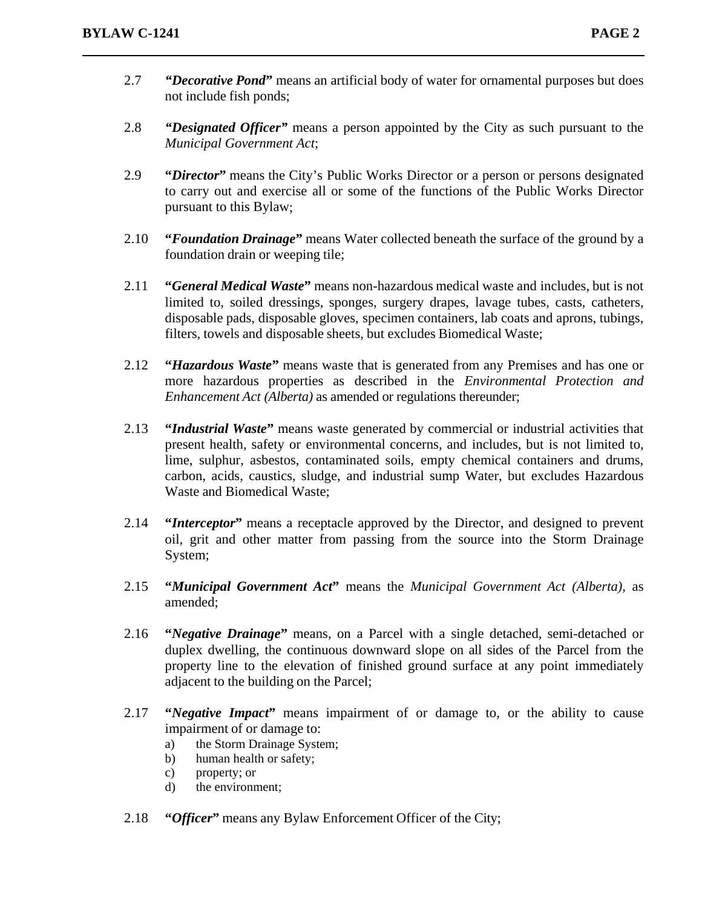- 2.7 *"Decorative Pond***"** means an artificial body of water for ornamental purposes but does not include fish ponds;
- 2.8 *"Designated Officer"* means a person appointed by the City as such pursuant to the *Municipal Government Act*;
- 2.9 **"***Director***"** means the City's Public Works Director or a person or persons designated to carry out and exercise all or some of the functions of the Public Works Director pursuant to this Bylaw;
- 2.10 **"***Foundation Drainage***"** means Water collected beneath the surface of the ground by a foundation drain or weeping tile;
- 2.11 **"***General Medical Waste***"** means non-hazardous medical waste and includes, but is not limited to, soiled dressings, sponges, surgery drapes, lavage tubes, casts, catheters, disposable pads, disposable gloves, specimen containers, lab coats and aprons, tubings, filters, towels and disposable sheets, but excludes Biomedical Waste;
- 2.12 **"***Hazardous Waste***"** means waste that is generated from any Premises and has one or more hazardous properties as described in the *Environmental Protection and Enhancement Act (Alberta)* as amended or regulations thereunder;
- 2.13 **"***Industrial Waste***"** means waste generated by commercial or industrial activities that present health, safety or environmental concerns, and includes, but is not limited to, lime, sulphur, asbestos, contaminated soils, empty chemical containers and drums, carbon, acids, caustics, sludge, and industrial sump Water, but excludes Hazardous Waste and Biomedical Waste;
- 2.14 **"***Interceptor***"** means a receptacle approved by the Director, and designed to prevent oil, grit and other matter from passing from the source into the Storm Drainage System;
- 2.15 **"***Municipal Government Act***"** means the *Municipal Government Act (Alberta)*, as amended;
- 2.16 **"***Negative Drainage***"** means, on a Parcel with a single detached, semi-detached or duplex dwelling, the continuous downward slope on all sides of the Parcel from the property line to the elevation of finished ground surface at any point immediately adjacent to the building on the Parcel;
- 2.17 **"***Negative Impact***"** means impairment of or damage to, or the ability to cause impairment of or damage to:
	- a) the Storm Drainage System;
	- b) human health or safety;
	- c) property; or
	- d) the environment;
- 2.18 **"***Officer***"** means any Bylaw Enforcement Officer of the City;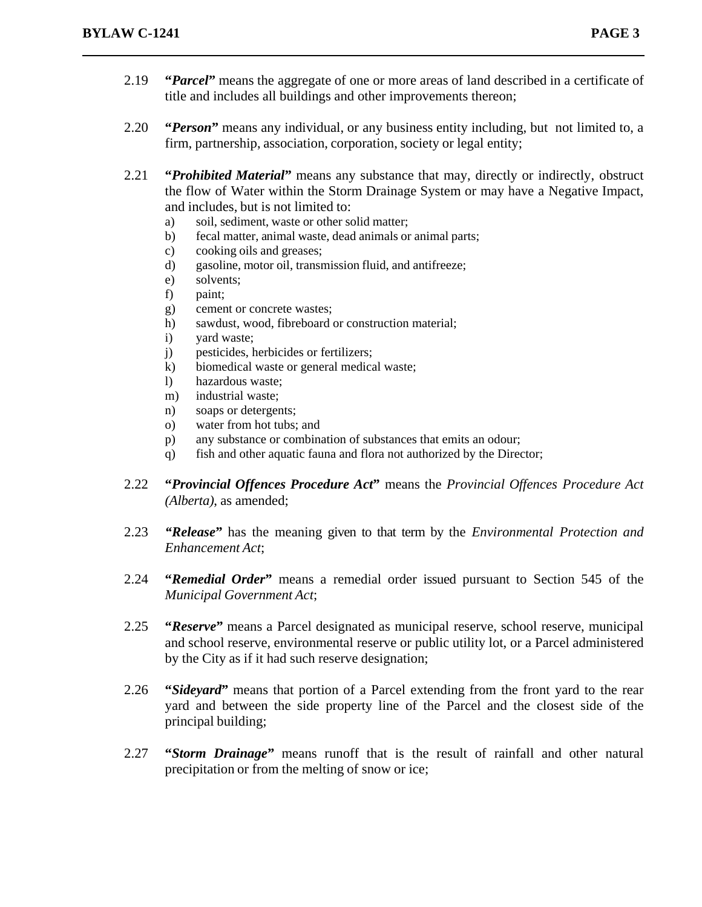- 2.19 **"***Parcel***"** means the aggregate of one or more areas of land described in a certificate of title and includes all buildings and other improvements thereon;
- 2.20 **"***Person***"** means any individual, or any business entity including, but not limited to, a firm, partnership, association, corporation, society or legal entity;
- 2.21 **"***Prohibited Material***"** means any substance that may, directly or indirectly, obstruct the flow of Water within the Storm Drainage System or may have a Negative Impact, and includes, but is not limited to:
	- a) soil, sediment, waste or other solid matter;
	- b) fecal matter, animal waste, dead animals or animal parts;
	- c) cooking oils and greases;
	- d) gasoline, motor oil, transmission fluid, and antifreeze;
	- e) solvents;
	- f) paint;
	- g) cement or concrete wastes;
	- h) sawdust, wood, fibreboard or construction material;
	- i) yard waste;
	- j) pesticides, herbicides or fertilizers;
	- k) biomedical waste or general medical waste;
	- l) hazardous waste;
	- m) industrial waste;
	- n) soaps or detergents;
	- o) water from hot tubs; and
	- p) any substance or combination of substances that emits an odour;
	- q) fish and other aquatic fauna and flora not authorized by the Director;
- 2.22 **"***Provincial Offences Procedure Act***"** means the *Provincial Offences Procedure Act (Alberta)*, as amended;
- 2.23 *"Release***"** has the meaning given to that term by the *Environmental Protection and Enhancement Act*;
- 2.24 **"***Remedial Order***"** means a remedial order issued pursuant to Section 545 of the *Municipal Government Act*;
- 2.25 **"***Reserve***"** means a Parcel designated as municipal reserve, school reserve, municipal and school reserve, environmental reserve or public utility lot, or a Parcel administered by the City as if it had such reserve designation;
- 2.26 **"***Sideyard***"** means that portion of a Parcel extending from the front yard to the rear yard and between the side property line of the Parcel and the closest side of the principal building;
- 2.27 **"***Storm Drainage***"** means runoff that is the result of rainfall and other natural precipitation or from the melting of snow or ice;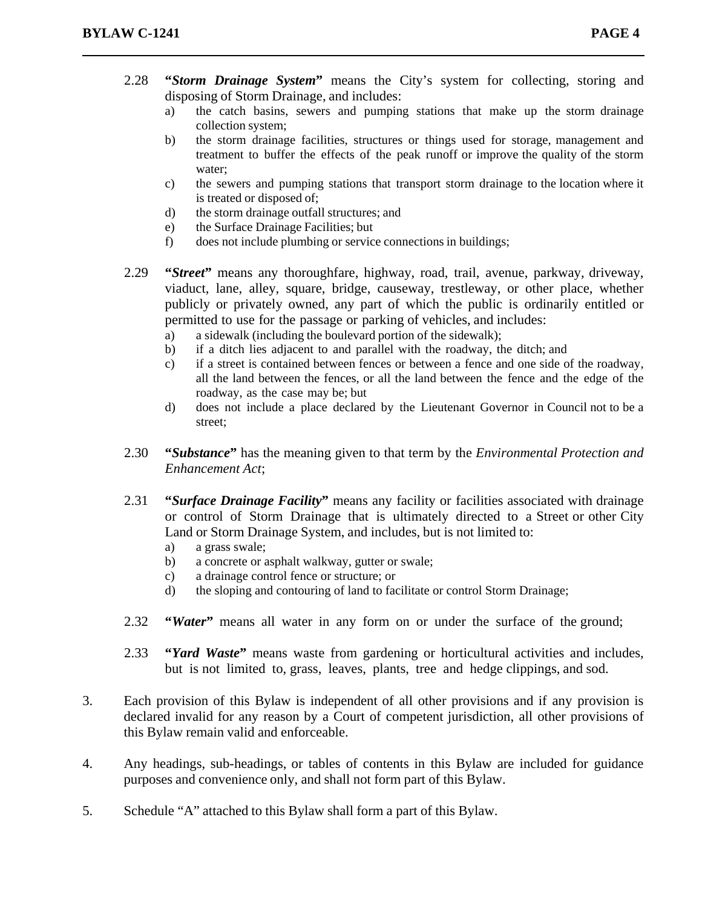- 2.28 **"***Storm Drainage System***"** means the City's system for collecting, storing and disposing of Storm Drainage, and includes:
	- a) the catch basins, sewers and pumping stations that make up the storm drainage collection system;
	- b) the storm drainage facilities, structures or things used for storage, management and treatment to buffer the effects of the peak runoff or improve the quality of the storm water;
	- c) the sewers and pumping stations that transport storm drainage to the location where it is treated or disposed of;
	- d) the storm drainage outfall structures; and
	- e) the Surface Drainage Facilities; but
	- f) does not include plumbing or service connections in buildings;
- 2.29 **"***Street***"** means any thoroughfare, highway, road, trail, avenue, parkway, driveway, viaduct, lane, alley, square, bridge, causeway, trestleway, or other place, whether publicly or privately owned, any part of which the public is ordinarily entitled or permitted to use for the passage or parking of vehicles, and includes:
	- a) a sidewalk (including the boulevard portion of the sidewalk);
	- b) if a ditch lies adjacent to and parallel with the roadway, the ditch; and
	- c) if a street is contained between fences or between a fence and one side of the roadway, all the land between the fences, or all the land between the fence and the edge of the roadway, as the case may be; but
	- d) does not include a place declared by the Lieutenant Governor in Council not to be a street;
- 2.30 **"***Substance***"** has the meaning given to that term by the *Environmental Protection and Enhancement Act*;
- 2.31 **"***Surface Drainage Facility***"** means any facility or facilities associated with drainage or control of Storm Drainage that is ultimately directed to a Street or other City Land or Storm Drainage System, and includes, but is not limited to:
	- a) a grass swale;
	- b) a concrete or asphalt walkway, gutter or swale;
	- c) a drainage control fence or structure; or
	- d) the sloping and contouring of land to facilitate or control Storm Drainage;
- 2.32 **"***Water***"** means all water in any form on or under the surface of the ground;
- 2.33 **"***Yard Waste***"** means waste from gardening or horticultural activities and includes, but is not limited to, grass, leaves, plants, tree and hedge clippings, and sod.
- 3. Each provision of this Bylaw is independent of all other provisions and if any provision is declared invalid for any reason by a Court of competent jurisdiction, all other provisions of this Bylaw remain valid and enforceable.
- 4. Any headings, sub-headings, or tables of contents in this Bylaw are included for guidance purposes and convenience only, and shall not form part of this Bylaw.
- 5. Schedule "A" attached to this Bylaw shall form a part of this Bylaw.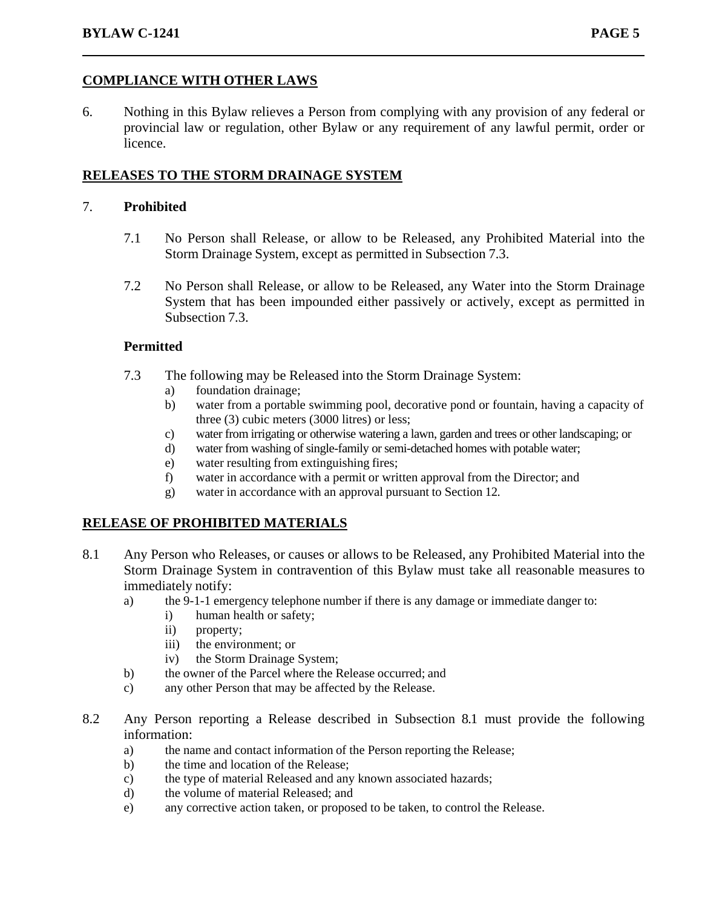### **COMPLIANCE WITH OTHER LAWS**

6. Nothing in this Bylaw relieves a Person from complying with any provision of any federal or provincial law or regulation, other Bylaw or any requirement of any lawful permit, order or licence.

## **RELEASES TO THE STORM DRAINAGE SYSTEM**

#### 7. **Prohibited**

- 7.1 No Person shall Release, or allow to be Released, any Prohibited Material into the Storm Drainage System, except as permitted in Subsection 7.3.
- 7.2 No Person shall Release, or allow to be Released, any Water into the Storm Drainage System that has been impounded either passively or actively, except as permitted in Subsection 7.3.

#### **Permitted**

- 7.3 The following may be Released into the Storm Drainage System:
	- a) foundation drainage;
		- b) water from a portable swimming pool, decorative pond or fountain, having a capacity of three (3) cubic meters (3000 litres) or less;
	- c) water from irrigating or otherwise watering a lawn, garden and trees or other landscaping; or
	- d) water from washing of single-family or semi-detached homes with potable water;
	- e) water resulting from extinguishing fires;
	- f) water in accordance with a permit or written approval from the Director; and
	- g) water in accordance with an approval pursuant to Section 12.

#### **RELEASE OF PROHIBITED MATERIALS**

- 8.1 Any Person who Releases, or causes or allows to be Released, any Prohibited Material into the Storm Drainage System in contravention of this Bylaw must take all reasonable measures to immediately notify:
	- a) the 9-1-1 emergency telephone number if there is any damage or immediate danger to:
		- i) human health or safety;
		- ii) property;
		- iii) the environment; or
		- iv) the Storm Drainage System;
	- b) the owner of the Parcel where the Release occurred; and
	- c) any other Person that may be affected by the Release.
- 8.2 Any Person reporting a Release described in Subsection 8.1 must provide the following information:
	- a) the name and contact information of the Person reporting the Release;
	- b) the time and location of the Release;
	- c) the type of material Released and any known associated hazards;
	- d) the volume of material Released; and
	- e) any corrective action taken, or proposed to be taken, to control the Release.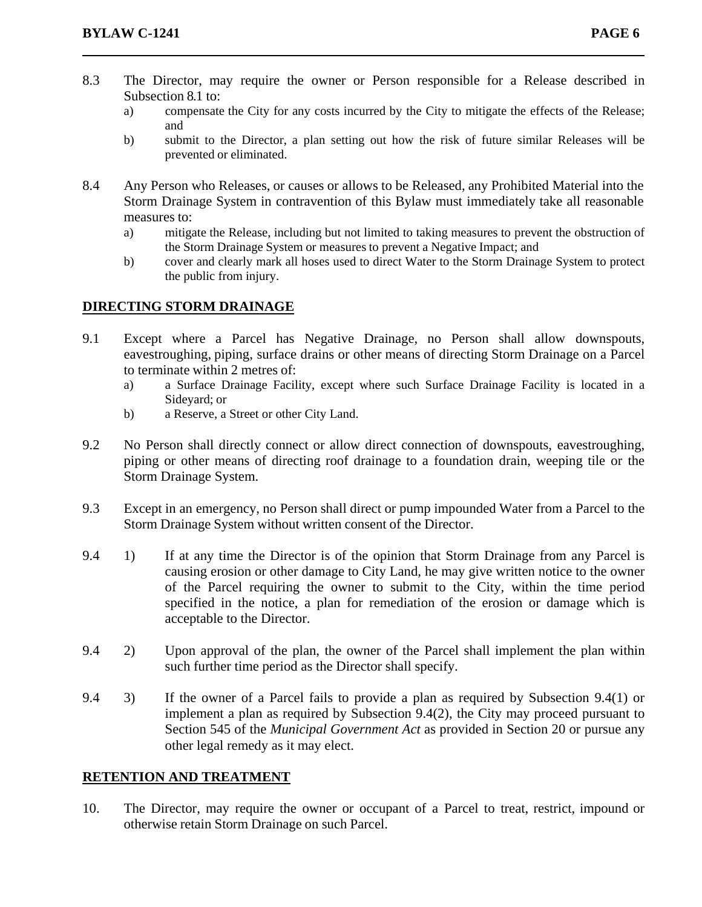- 8.3 The Director, may require the owner or Person responsible for a Release described in Subsection 8.1 to:
	- a) compensate the City for any costs incurred by the City to mitigate the effects of the Release; and
	- b) submit to the Director, a plan setting out how the risk of future similar Releases will be prevented or eliminated.
- 8.4 Any Person who Releases, or causes or allows to be Released, any Prohibited Material into the Storm Drainage System in contravention of this Bylaw must immediately take all reasonable measures to:
	- a) mitigate the Release, including but not limited to taking measures to prevent the obstruction of the Storm Drainage System or measures to prevent a Negative Impact; and
	- b) cover and clearly mark all hoses used to direct Water to the Storm Drainage System to protect the public from injury.

#### **DIRECTING STORM DRAINAGE**

- 9.1 Except where a Parcel has Negative Drainage, no Person shall allow downspouts, eavestroughing, piping, surface drains or other means of directing Storm Drainage on a Parcel to terminate within 2 metres of:
	- a) a Surface Drainage Facility, except where such Surface Drainage Facility is located in a Sideyard; or
	- b) a Reserve, a Street or other City Land.
- 9.2 No Person shall directly connect or allow direct connection of downspouts, eavestroughing, piping or other means of directing roof drainage to a foundation drain, weeping tile or the Storm Drainage System.
- 9.3 Except in an emergency, no Person shall direct or pump impounded Water from a Parcel to the Storm Drainage System without written consent of the Director.
- 9.4 1) If at any time the Director is of the opinion that Storm Drainage from any Parcel is causing erosion or other damage to City Land, he may give written notice to the owner of the Parcel requiring the owner to submit to the City, within the time period specified in the notice, a plan for remediation of the erosion or damage which is acceptable to the Director.
- 9.4 2) Upon approval of the plan, the owner of the Parcel shall implement the plan within such further time period as the Director shall specify.
- 9.4 3) If the owner of a Parcel fails to provide a plan as required by Subsection 9.4(1) or implement a plan as required by Subsection 9.4(2), the City may proceed pursuant to Section 545 of the *Municipal Government Act* as provided in Section 20 or pursue any other legal remedy as it may elect.

#### **RETENTION AND TREATMENT**

10. The Director, may require the owner or occupant of a Parcel to treat, restrict, impound or otherwise retain Storm Drainage on such Parcel.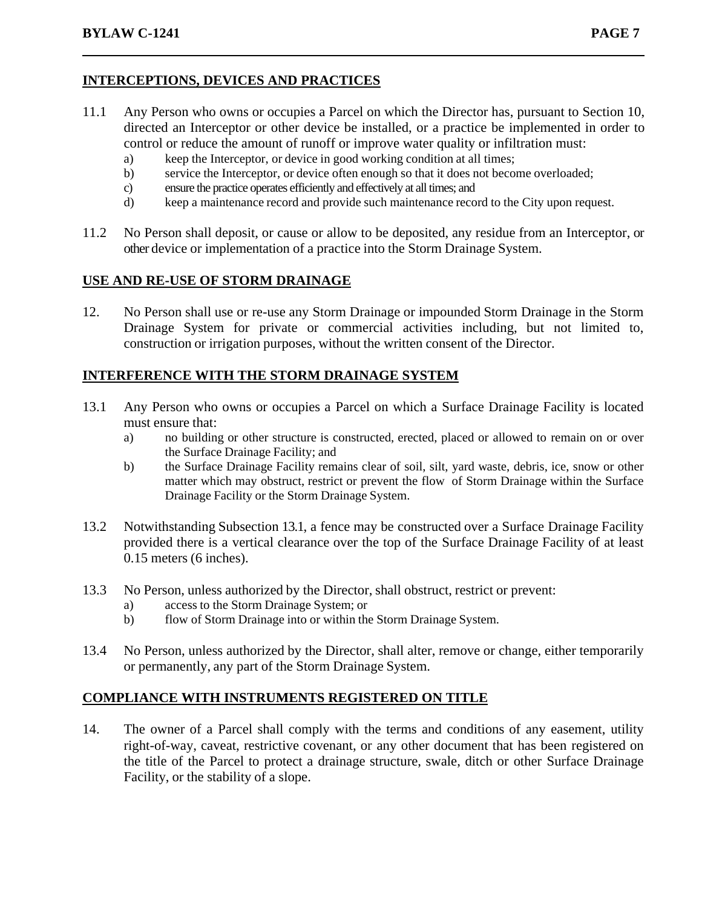## **INTERCEPTIONS, DEVICES AND PRACTICES**

- 11.1 Any Person who owns or occupies a Parcel on which the Director has, pursuant to Section 10, directed an Interceptor or other device be installed, or a practice be implemented in order to control or reduce the amount of runoff or improve water quality or infiltration must:
	- a) keep the Interceptor, or device in good working condition at all times;
	- b) service the Interceptor, or device often enough so that it does not become overloaded;
	- c) ensure the practice operates efficiently and effectively at all times; and
	- d) keep a maintenance record and provide such maintenance record to the City upon request.
- 11.2 No Person shall deposit, or cause or allow to be deposited, any residue from an Interceptor, or other device or implementation of a practice into the Storm Drainage System.

### **USE AND RE-USE OF STORM DRAINAGE**

12. No Person shall use or re-use any Storm Drainage or impounded Storm Drainage in the Storm Drainage System for private or commercial activities including, but not limited to, construction or irrigation purposes, without the written consent of the Director.

### **INTERFERENCE WITH THE STORM DRAINAGE SYSTEM**

- 13.1 Any Person who owns or occupies a Parcel on which a Surface Drainage Facility is located must ensure that:
	- a) no building or other structure is constructed, erected, placed or allowed to remain on or over the Surface Drainage Facility; and
	- b) the Surface Drainage Facility remains clear of soil, silt, yard waste, debris, ice, snow or other matter which may obstruct, restrict or prevent the flow of Storm Drainage within the Surface Drainage Facility or the Storm Drainage System.
- 13.2 Notwithstanding Subsection 13.1, a fence may be constructed over a Surface Drainage Facility provided there is a vertical clearance over the top of the Surface Drainage Facility of at least 0.15 meters (6 inches).
- 13.3 No Person, unless authorized by the Director, shall obstruct, restrict or prevent:
	- a) access to the Storm Drainage System; or
	- b) flow of Storm Drainage into or within the Storm Drainage System.
- 13.4 No Person, unless authorized by the Director, shall alter, remove or change, either temporarily or permanently, any part of the Storm Drainage System.

### **COMPLIANCE WITH INSTRUMENTS REGISTERED ON TITLE**

14. The owner of a Parcel shall comply with the terms and conditions of any easement, utility right-of-way, caveat, restrictive covenant, or any other document that has been registered on the title of the Parcel to protect a drainage structure, swale, ditch or other Surface Drainage Facility, or the stability of a slope.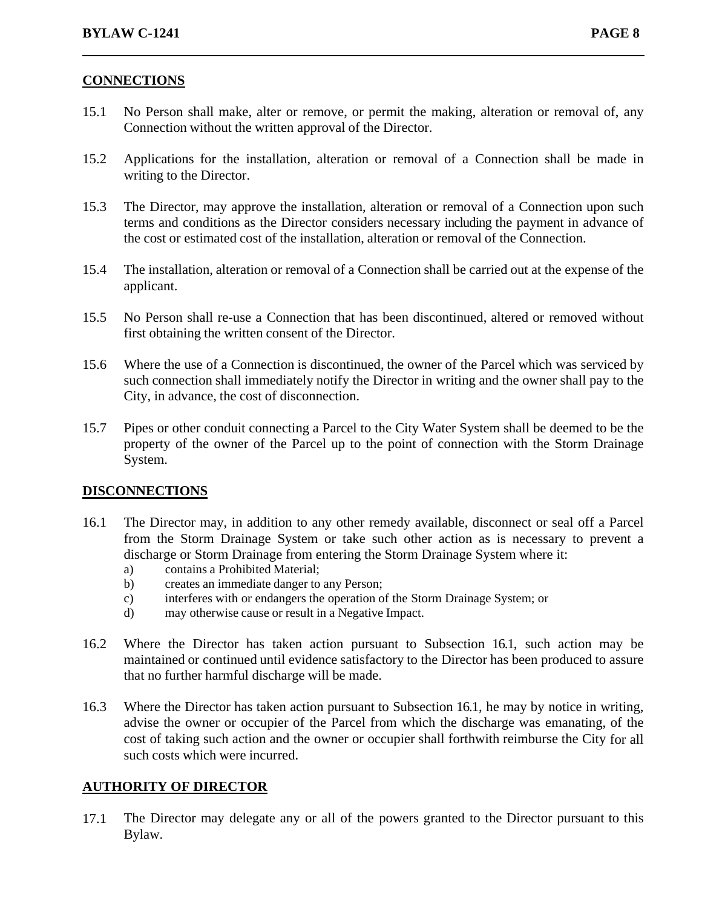### **CONNECTIONS**

- 15.1 No Person shall make, alter or remove, or permit the making, alteration or removal of, any Connection without the written approval of the Director.
- 15.2 Applications for the installation, alteration or removal of a Connection shall be made in writing to the Director.
- 15.3 The Director, may approve the installation, alteration or removal of a Connection upon such terms and conditions as the Director considers necessary including the payment in advance of the cost or estimated cost of the installation, alteration or removal of the Connection.
- 15.4 The installation, alteration or removal of a Connection shall be carried out at the expense of the applicant.
- 15.5 No Person shall re-use a Connection that has been discontinued, altered or removed without first obtaining the written consent of the Director.
- 15.6 Where the use of a Connection is discontinued, the owner of the Parcel which was serviced by such connection shall immediately notify the Director in writing and the owner shall pay to the City, in advance, the cost of disconnection.
- 15.7 Pipes or other conduit connecting a Parcel to the City Water System shall be deemed to be the property of the owner of the Parcel up to the point of connection with the Storm Drainage System.

#### **DISCONNECTIONS**

- 16.1 The Director may, in addition to any other remedy available, disconnect or seal off a Parcel from the Storm Drainage System or take such other action as is necessary to prevent a discharge or Storm Drainage from entering the Storm Drainage System where it:
	- a) contains a Prohibited Material;
	- b) creates an immediate danger to any Person;
	- c) interferes with or endangers the operation of the Storm Drainage System; or
	- d) may otherwise cause or result in a Negative Impact.
- 16.2 Where the Director has taken action pursuant to Subsection 16.1, such action may be maintained or continued until evidence satisfactory to the Director has been produced to assure that no further harmful discharge will be made.
- 16.3 Where the Director has taken action pursuant to Subsection 16.1, he may by notice in writing, advise the owner or occupier of the Parcel from which the discharge was emanating, of the cost of taking such action and the owner or occupier shall forthwith reimburse the City for all such costs which were incurred.

#### **AUTHORITY OF DIRECTOR**

17.1 The Director may delegate any or all of the powers granted to the Director pursuant to this Bylaw.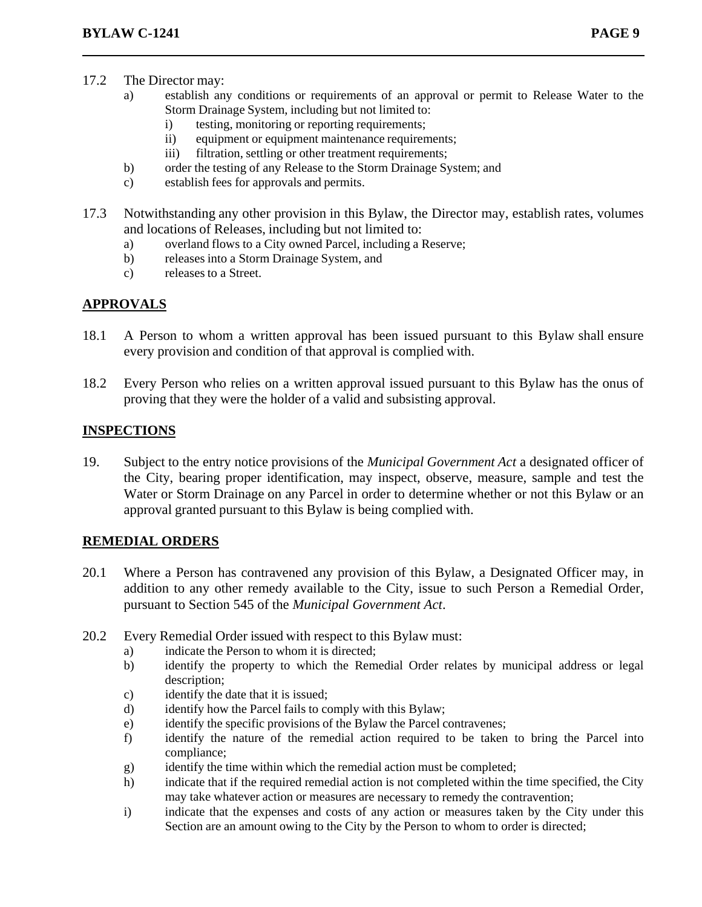- 17.2 The Director may:
	- a) establish any conditions or requirements of an approval or permit to Release Water to the Storm Drainage System, including but not limited to:
		- i) testing, monitoring or reporting requirements;
		- ii) equipment or equipment maintenance requirements;
		- iii) filtration, settling or other treatment requirements;
	- b) order the testing of any Release to the Storm Drainage System; and
	- c) establish fees for approvals and permits.
- 17.3 Notwithstanding any other provision in this Bylaw, the Director may, establish rates, volumes and locations of Releases, including but not limited to:
	- a) overland flows to a City owned Parcel, including a Reserve;
	- b) releases into a Storm Drainage System, and
	- c) releases to a Street.

# **APPROVALS**

- 18.1 A Person to whom a written approval has been issued pursuant to this Bylaw shall ensure every provision and condition of that approval is complied with.
- 18.2 Every Person who relies on a written approval issued pursuant to this Bylaw has the onus of proving that they were the holder of a valid and subsisting approval.

## **INSPECTIONS**

19. Subject to the entry notice provisions of the *Municipal Government Act* a designated officer of the City, bearing proper identification, may inspect, observe, measure, sample and test the Water or Storm Drainage on any Parcel in order to determine whether or not this Bylaw or an approval granted pursuant to this Bylaw is being complied with.

# **REMEDIAL ORDERS**

- 20.1 Where a Person has contravened any provision of this Bylaw, a Designated Officer may, in addition to any other remedy available to the City, issue to such Person a Remedial Order, pursuant to Section 545 of the *Municipal Government Act*.
- 20.2 Every Remedial Order issued with respect to this Bylaw must:
	- a) indicate the Person to whom it is directed;
	- b) identify the property to which the Remedial Order relates by municipal address or legal description;
	- c) identify the date that it is issued;
	- d) identify how the Parcel fails to comply with this Bylaw;
	- e) identify the specific provisions of the Bylaw the Parcel contravenes;
	- f) identify the nature of the remedial action required to be taken to bring the Parcel into compliance;
	- g) identify the time within which the remedial action must be completed;
	- h) indicate that if the required remedial action is not completed within the time specified, the City may take whatever action or measures are necessary to remedy the contravention;
	- i) indicate that the expenses and costs of any action or measures taken by the City under this Section are an amount owing to the City by the Person to whom to order is directed;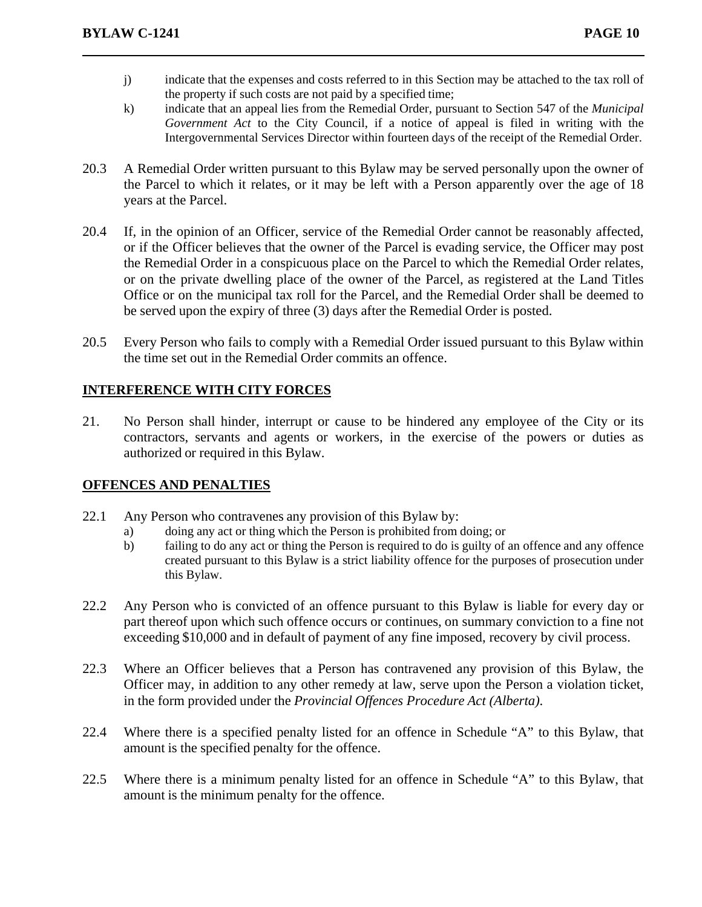- j) indicate that the expenses and costs referred to in this Section may be attached to the tax roll of the property if such costs are not paid by a specified time;
- k) indicate that an appeal lies from the Remedial Order, pursuant to Section 547 of the *Municipal Government Act* to the City Council, if a notice of appeal is filed in writing with the Intergovernmental Services Director within fourteen days of the receipt of the Remedial Order.
- 20.3 A Remedial Order written pursuant to this Bylaw may be served personally upon the owner of the Parcel to which it relates, or it may be left with a Person apparently over the age of 18 years at the Parcel.
- 20.4 If, in the opinion of an Officer, service of the Remedial Order cannot be reasonably affected, or if the Officer believes that the owner of the Parcel is evading service, the Officer may post the Remedial Order in a conspicuous place on the Parcel to which the Remedial Order relates, or on the private dwelling place of the owner of the Parcel, as registered at the Land Titles Office or on the municipal tax roll for the Parcel, and the Remedial Order shall be deemed to be served upon the expiry of three (3) days after the Remedial Order is posted.
- 20.5 Every Person who fails to comply with a Remedial Order issued pursuant to this Bylaw within the time set out in the Remedial Order commits an offence.

## **INTERFERENCE WITH CITY FORCES**

21. No Person shall hinder, interrupt or cause to be hindered any employee of the City or its contractors, servants and agents or workers, in the exercise of the powers or duties as authorized or required in this Bylaw.

### **OFFENCES AND PENALTIES**

- 22.1 Any Person who contravenes any provision of this Bylaw by:
	- a) doing any act or thing which the Person is prohibited from doing; or
	- b) failing to do any act or thing the Person is required to do is guilty of an offence and any offence created pursuant to this Bylaw is a strict liability offence for the purposes of prosecution under this Bylaw.
- 22.2 Any Person who is convicted of an offence pursuant to this Bylaw is liable for every day or part thereof upon which such offence occurs or continues, on summary conviction to a fine not exceeding \$10,000 and in default of payment of any fine imposed, recovery by civil process.
- 22.3 Where an Officer believes that a Person has contravened any provision of this Bylaw, the Officer may, in addition to any other remedy at law, serve upon the Person a violation ticket, in the form provided under the *Provincial Offences Procedure Act (Alberta)*.
- 22.4 Where there is a specified penalty listed for an offence in Schedule "A" to this Bylaw, that amount is the specified penalty for the offence.
- 22.5 Where there is a minimum penalty listed for an offence in Schedule "A" to this Bylaw, that amount is the minimum penalty for the offence.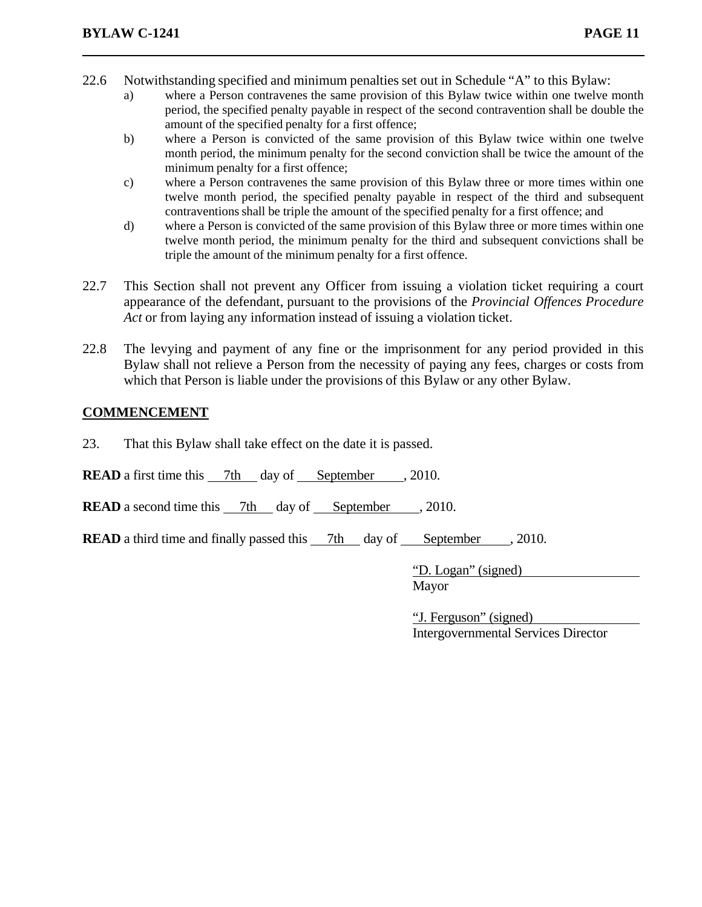- 22.6 Notwithstanding specified and minimum penalties set out in Schedule "A" to this Bylaw:
	- a) where a Person contravenes the same provision of this Bylaw twice within one twelve month period, the specified penalty payable in respect of the second contravention shall be double the amount of the specified penalty for a first offence;
	- b) where a Person is convicted of the same provision of this Bylaw twice within one twelve month period, the minimum penalty for the second conviction shall be twice the amount of the minimum penalty for a first offence;
	- c) where a Person contravenes the same provision of this Bylaw three or more times within one twelve month period, the specified penalty payable in respect of the third and subsequent contraventions shall be triple the amount of the specified penalty for a first offence; and
	- d) where a Person is convicted of the same provision of this Bylaw three or more times within one twelve month period, the minimum penalty for the third and subsequent convictions shall be triple the amount of the minimum penalty for a first offence.
- 22.7 This Section shall not prevent any Officer from issuing a violation ticket requiring a court appearance of the defendant, pursuant to the provisions of the *Provincial Offences Procedure Act* or from laying any information instead of issuing a violation ticket.
- 22.8 The levying and payment of any fine or the imprisonment for any period provided in this Bylaw shall not relieve a Person from the necessity of paying any fees, charges or costs from which that Person is liable under the provisions of this Bylaw or any other Bylaw.

### **COMMENCEMENT**

23. That this Bylaw shall take effect on the date it is passed.

**READ** a first time this  $\frac{7\text{th}}{4}$  day of September , 2010.

**READ** a second time this 7th day of September , 2010.

**READ** a third time and finally passed this 7th day of September , 2010.

 "D. Logan" (signed) Mayor

> "J. Ferguson" (signed) Intergovernmental Services Director